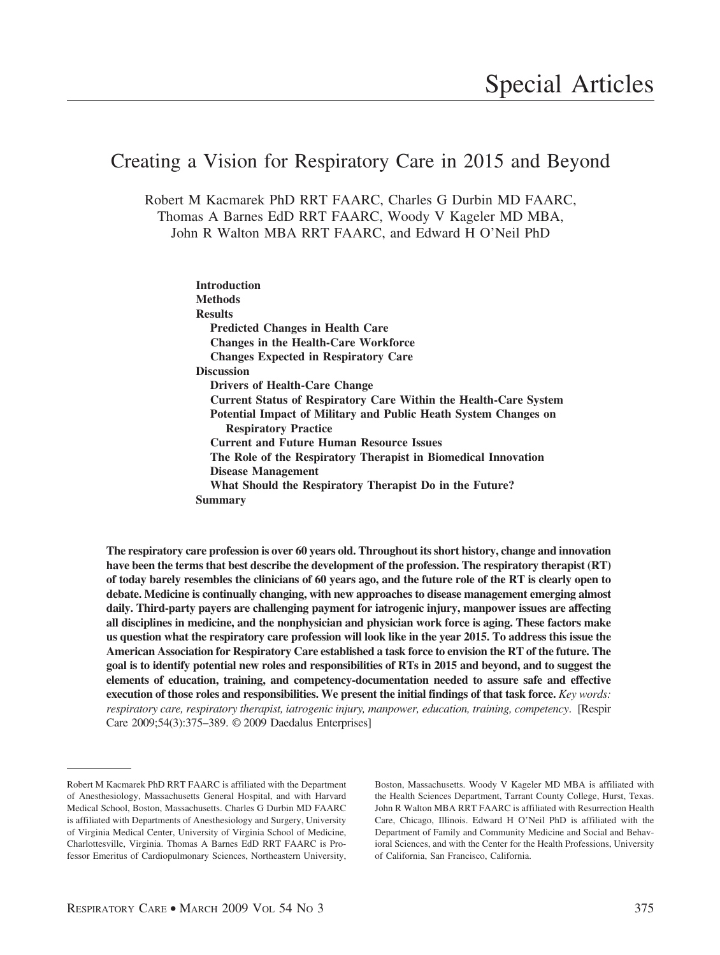# Creating a Vision for Respiratory Care in 2015 and Beyond

Robert M Kacmarek PhD RRT FAARC, Charles G Durbin MD FAARC, Thomas A Barnes EdD RRT FAARC, Woody V Kageler MD MBA, John R Walton MBA RRT FAARC, and Edward H O'Neil PhD

> **Introduction Methods Results Predicted Changes in Health Care Changes in the Health-Care Workforce Changes Expected in Respiratory Care Discussion Drivers of Health-Care Change Current Status of Respiratory Care Within the Health-Care System Potential Impact of Military and Public Heath System Changes on Respiratory Practice Current and Future Human Resource Issues The Role of the Respiratory Therapist in Biomedical Innovation Disease Management What Should the Respiratory Therapist Do in the Future? Summary**

**The respiratory care profession is over 60 years old. Throughout its short history, change and innovation have been the terms that best describe the development of the profession. The respiratory therapist (RT) of today barely resembles the clinicians of 60 years ago, and the future role of the RT is clearly open to debate. Medicine is continually changing, with new approaches to disease management emerging almost daily. Third-party payers are challenging payment for iatrogenic injury, manpower issues are affecting all disciplines in medicine, and the nonphysician and physician work force is aging. These factors make us question what the respiratory care profession will look like in the year 2015. To address this issue the American Association for Respiratory Care established a task force to envision the RT of the future. The goal is to identify potential new roles and responsibilities of RTs in 2015 and beyond, and to suggest the elements of education, training, and competency-documentation needed to assure safe and effective execution of those roles and responsibilities. We present the initial findings of that task force.** *Key words: respiratory care, respiratory therapist, iatrogenic injury, manpower, education, training, competency*. [Respir Care 2009;54(3):375–389. © 2009 Daedalus Enterprises]

Boston, Massachusetts. Woody V Kageler MD MBA is affiliated with the Health Sciences Department, Tarrant County College, Hurst, Texas. John R Walton MBA RRT FAARC is affiliated with Resurrection Health Care, Chicago, Illinois. Edward H O'Neil PhD is affiliated with the Department of Family and Community Medicine and Social and Behavioral Sciences, and with the Center for the Health Professions, University of California, San Francisco, California.

Robert M Kacmarek PhD RRT FAARC is affiliated with the Department of Anesthesiology, Massachusetts General Hospital, and with Harvard Medical School, Boston, Massachusetts. Charles G Durbin MD FAARC is affiliated with Departments of Anesthesiology and Surgery, University of Virginia Medical Center, University of Virginia School of Medicine, Charlottesville, Virginia. Thomas A Barnes EdD RRT FAARC is Professor Emeritus of Cardiopulmonary Sciences, Northeastern University,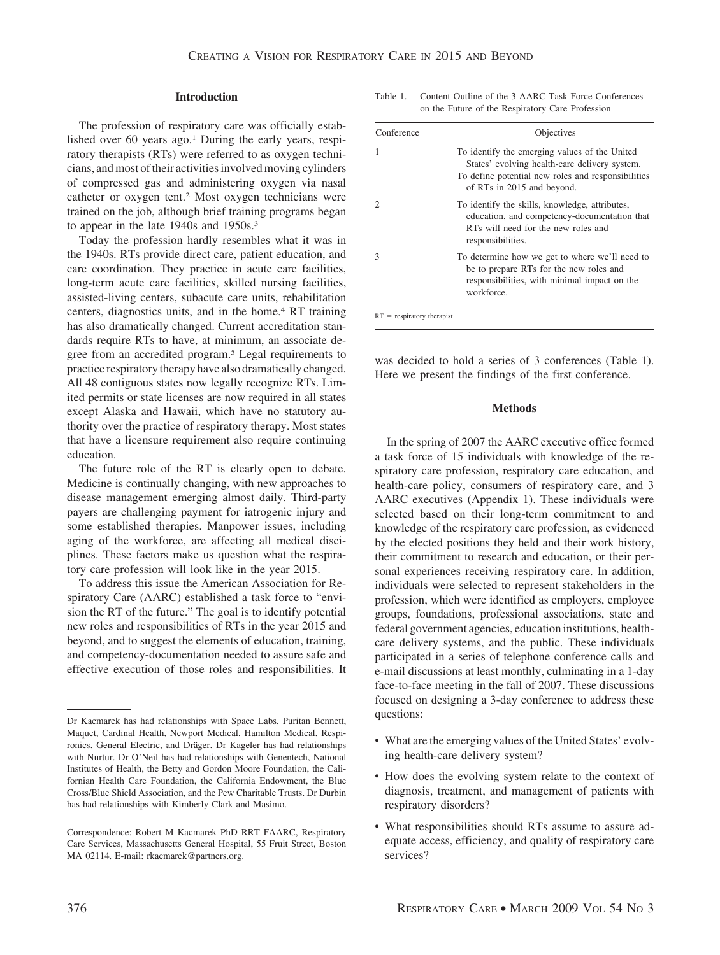### **Introduction**

The profession of respiratory care was officially established over 60 years ago.<sup>1</sup> During the early years, respiratory therapists (RTs) were referred to as oxygen technicians, and most of their activities involved moving cylinders of compressed gas and administering oxygen via nasal catheter or oxygen tent.2 Most oxygen technicians were trained on the job, although brief training programs began to appear in the late 1940s and 1950s.3

Today the profession hardly resembles what it was in the 1940s. RTs provide direct care, patient education, and care coordination. They practice in acute care facilities, long-term acute care facilities, skilled nursing facilities, assisted-living centers, subacute care units, rehabilitation centers, diagnostics units, and in the home.4 RT training has also dramatically changed. Current accreditation standards require RTs to have, at minimum, an associate degree from an accredited program.<sup>5</sup> Legal requirements to practice respiratory therapy have also dramatically changed. All 48 contiguous states now legally recognize RTs. Limited permits or state licenses are now required in all states except Alaska and Hawaii, which have no statutory authority over the practice of respiratory therapy. Most states that have a licensure requirement also require continuing education.

The future role of the RT is clearly open to debate. Medicine is continually changing, with new approaches to disease management emerging almost daily. Third-party payers are challenging payment for iatrogenic injury and some established therapies. Manpower issues, including aging of the workforce, are affecting all medical disciplines. These factors make us question what the respiratory care profession will look like in the year 2015.

To address this issue the American Association for Respiratory Care (AARC) established a task force to "envision the RT of the future." The goal is to identify potential new roles and responsibilities of RTs in the year 2015 and beyond, and to suggest the elements of education, training, and competency-documentation needed to assure safe and effective execution of those roles and responsibilities. It Table 1. Content Outline of the 3 AARC Task Force Conferences on the Future of the Respiratory Care Profession

| Conference | Objectives                                                                                                                                                                         |
|------------|------------------------------------------------------------------------------------------------------------------------------------------------------------------------------------|
|            | To identify the emerging values of the United<br>States' evolving health-care delivery system.<br>To define potential new roles and responsibilities<br>of RTs in 2015 and beyond. |
|            | To identify the skills, knowledge, attributes,<br>education, and competency-documentation that<br>RTs will need for the new roles and<br>responsibilities.                         |
| 3          | To determine how we get to where we'll need to<br>be to prepare RTs for the new roles and<br>responsibilities, with minimal impact on the<br>workforce.                            |

was decided to hold a series of 3 conferences (Table 1). Here we present the findings of the first conference.

#### **Methods**

In the spring of 2007 the AARC executive office formed a task force of 15 individuals with knowledge of the respiratory care profession, respiratory care education, and health-care policy, consumers of respiratory care, and 3 AARC executives (Appendix 1). These individuals were selected based on their long-term commitment to and knowledge of the respiratory care profession, as evidenced by the elected positions they held and their work history, their commitment to research and education, or their personal experiences receiving respiratory care. In addition, individuals were selected to represent stakeholders in the profession, which were identified as employers, employee groups, foundations, professional associations, state and federal government agencies, education institutions, healthcare delivery systems, and the public. These individuals participated in a series of telephone conference calls and e-mail discussions at least monthly, culminating in a 1-day face-to-face meeting in the fall of 2007. These discussions focused on designing a 3-day conference to address these questions:

- What are the emerging values of the United States' evolving health-care delivery system?
- How does the evolving system relate to the context of diagnosis, treatment, and management of patients with respiratory disorders?
- What responsibilities should RTs assume to assure adequate access, efficiency, and quality of respiratory care services?

Dr Kacmarek has had relationships with Space Labs, Puritan Bennett, Maquet, Cardinal Health, Newport Medical, Hamilton Medical, Respironics, General Electric, and Dräger. Dr Kageler has had relationships with Nurtur. Dr O'Neil has had relationships with Genentech, National Institutes of Health, the Betty and Gordon Moore Foundation, the Californian Health Care Foundation, the California Endowment, the Blue Cross/Blue Shield Association, and the Pew Charitable Trusts. Dr Durbin has had relationships with Kimberly Clark and Masimo.

Correspondence: Robert M Kacmarek PhD RRT FAARC, Respiratory Care Services, Massachusetts General Hospital, 55 Fruit Street, Boston MA 02114. E-mail: rkacmarek@partners.org.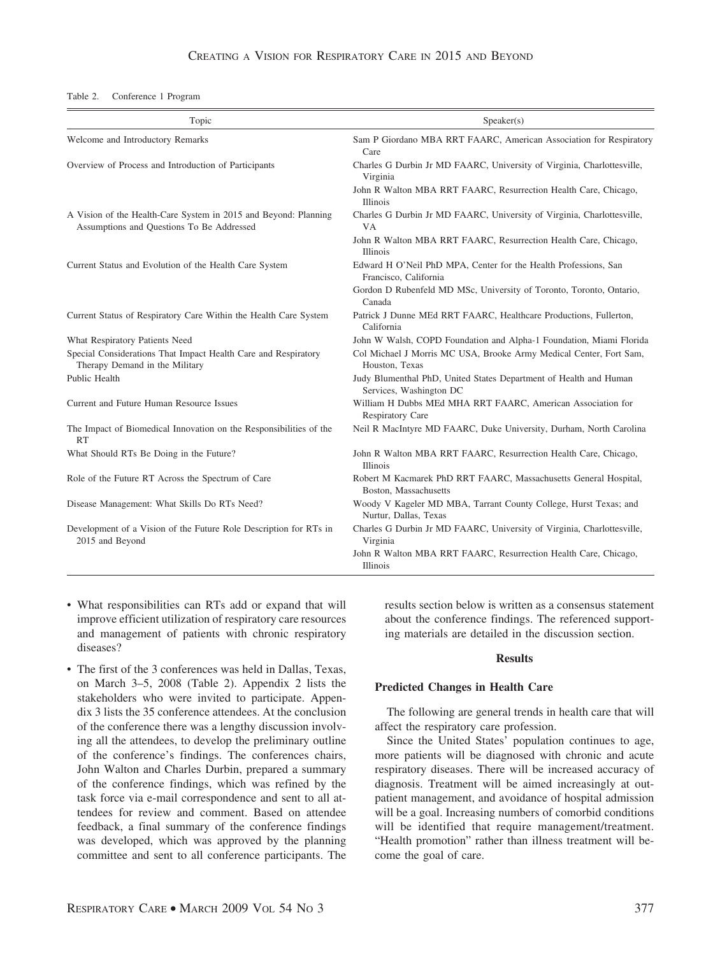Table 2. Conference 1 Program

| Topic                                                                                                        | Speaker(s)                                                                                   |  |  |  |
|--------------------------------------------------------------------------------------------------------------|----------------------------------------------------------------------------------------------|--|--|--|
| Welcome and Introductory Remarks                                                                             | Sam P Giordano MBA RRT FAARC, American Association for Respiratory<br>Care                   |  |  |  |
| Overview of Process and Introduction of Participants                                                         | Charles G Durbin Jr MD FAARC, University of Virginia, Charlottesville,<br>Virginia           |  |  |  |
|                                                                                                              | John R Walton MBA RRT FAARC, Resurrection Health Care, Chicago,<br>Illinois                  |  |  |  |
| A Vision of the Health-Care System in 2015 and Beyond: Planning<br>Assumptions and Questions To Be Addressed | Charles G Durbin Jr MD FAARC, University of Virginia, Charlottesville,<br><b>VA</b>          |  |  |  |
|                                                                                                              | John R Walton MBA RRT FAARC, Resurrection Health Care, Chicago,<br>Illinois                  |  |  |  |
| Current Status and Evolution of the Health Care System                                                       | Edward H O'Neil PhD MPA, Center for the Health Professions, San<br>Francisco, California     |  |  |  |
|                                                                                                              | Gordon D Rubenfeld MD MSc, University of Toronto, Toronto, Ontario,<br>Canada                |  |  |  |
| Current Status of Respiratory Care Within the Health Care System                                             | Patrick J Dunne MEd RRT FAARC, Healthcare Productions, Fullerton,<br>California              |  |  |  |
| What Respiratory Patients Need                                                                               | John W Walsh, COPD Foundation and Alpha-1 Foundation, Miami Florida                          |  |  |  |
| Special Considerations That Impact Health Care and Respiratory<br>Therapy Demand in the Military             | Col Michael J Morris MC USA, Brooke Army Medical Center, Fort Sam,<br>Houston, Texas         |  |  |  |
| Public Health                                                                                                | Judy Blumenthal PhD, United States Department of Health and Human<br>Services, Washington DC |  |  |  |
| Current and Future Human Resource Issues                                                                     | William H Dubbs MEd MHA RRT FAARC, American Association for<br><b>Respiratory Care</b>       |  |  |  |
| The Impact of Biomedical Innovation on the Responsibilities of the<br>RT                                     | Neil R MacIntyre MD FAARC, Duke University, Durham, North Carolina                           |  |  |  |
| What Should RTs Be Doing in the Future?                                                                      | John R Walton MBA RRT FAARC, Resurrection Health Care, Chicago,<br><b>Illinois</b>           |  |  |  |
| Role of the Future RT Across the Spectrum of Care                                                            | Robert M Kacmarek PhD RRT FAARC, Massachusetts General Hospital,<br>Boston, Massachusetts    |  |  |  |
| Disease Management: What Skills Do RTs Need?                                                                 | Woody V Kageler MD MBA, Tarrant County College, Hurst Texas; and<br>Nurtur, Dallas, Texas    |  |  |  |
| Development of a Vision of the Future Role Description for RTs in<br>2015 and Beyond                         | Charles G Durbin Jr MD FAARC, University of Virginia, Charlottesville,<br>Virginia           |  |  |  |
|                                                                                                              | John R Walton MBA RRT FAARC, Resurrection Health Care, Chicago,<br>Illinois                  |  |  |  |

- What responsibilities can RTs add or expand that will improve efficient utilization of respiratory care resources and management of patients with chronic respiratory diseases?
- The first of the 3 conferences was held in Dallas, Texas, on March 3–5, 2008 (Table 2). Appendix 2 lists the stakeholders who were invited to participate. Appendix 3 lists the 35 conference attendees. At the conclusion of the conference there was a lengthy discussion involving all the attendees, to develop the preliminary outline of the conference's findings. The conferences chairs, John Walton and Charles Durbin, prepared a summary of the conference findings, which was refined by the task force via e-mail correspondence and sent to all attendees for review and comment. Based on attendee feedback, a final summary of the conference findings was developed, which was approved by the planning committee and sent to all conference participants. The

results section below is written as a consensus statement about the conference findings. The referenced supporting materials are detailed in the discussion section.

#### **Results**

#### **Predicted Changes in Health Care**

The following are general trends in health care that will affect the respiratory care profession.

Since the United States' population continues to age, more patients will be diagnosed with chronic and acute respiratory diseases. There will be increased accuracy of diagnosis. Treatment will be aimed increasingly at outpatient management, and avoidance of hospital admission will be a goal. Increasing numbers of comorbid conditions will be identified that require management/treatment. "Health promotion" rather than illness treatment will become the goal of care.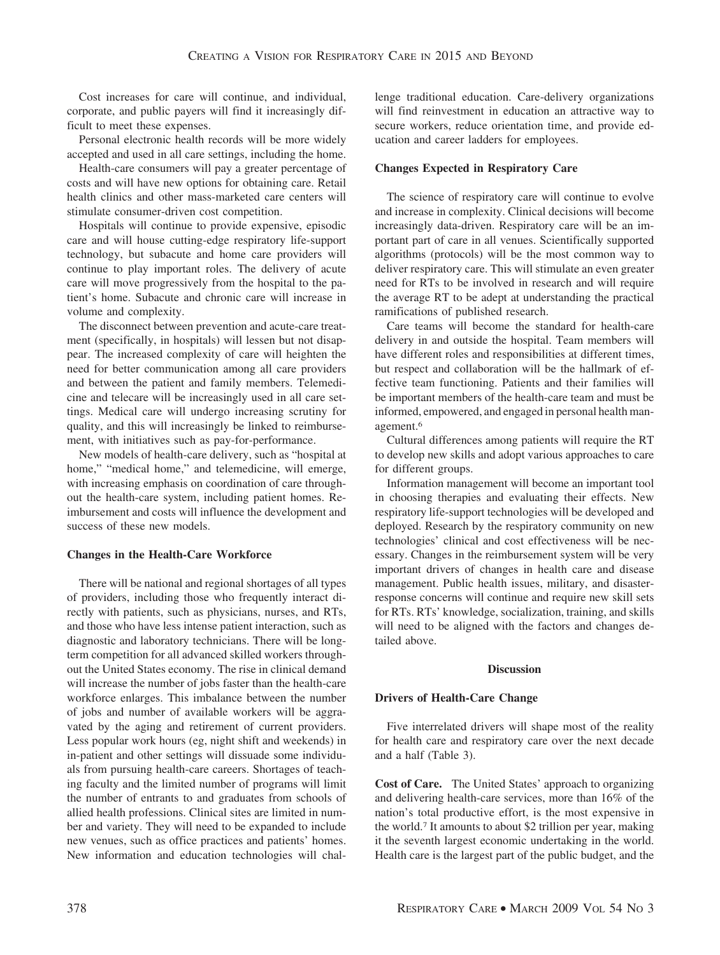Cost increases for care will continue, and individual, corporate, and public payers will find it increasingly difficult to meet these expenses.

Personal electronic health records will be more widely accepted and used in all care settings, including the home.

Health-care consumers will pay a greater percentage of costs and will have new options for obtaining care. Retail health clinics and other mass-marketed care centers will stimulate consumer-driven cost competition.

Hospitals will continue to provide expensive, episodic care and will house cutting-edge respiratory life-support technology, but subacute and home care providers will continue to play important roles. The delivery of acute care will move progressively from the hospital to the patient's home. Subacute and chronic care will increase in volume and complexity.

The disconnect between prevention and acute-care treatment (specifically, in hospitals) will lessen but not disappear. The increased complexity of care will heighten the need for better communication among all care providers and between the patient and family members. Telemedicine and telecare will be increasingly used in all care settings. Medical care will undergo increasing scrutiny for quality, and this will increasingly be linked to reimbursement, with initiatives such as pay-for-performance.

New models of health-care delivery, such as "hospital at home," "medical home," and telemedicine, will emerge, with increasing emphasis on coordination of care throughout the health-care system, including patient homes. Reimbursement and costs will influence the development and success of these new models.

## **Changes in the Health-Care Workforce**

There will be national and regional shortages of all types of providers, including those who frequently interact directly with patients, such as physicians, nurses, and RTs, and those who have less intense patient interaction, such as diagnostic and laboratory technicians. There will be longterm competition for all advanced skilled workers throughout the United States economy. The rise in clinical demand will increase the number of jobs faster than the health-care workforce enlarges. This imbalance between the number of jobs and number of available workers will be aggravated by the aging and retirement of current providers. Less popular work hours (eg, night shift and weekends) in in-patient and other settings will dissuade some individuals from pursuing health-care careers. Shortages of teaching faculty and the limited number of programs will limit the number of entrants to and graduates from schools of allied health professions. Clinical sites are limited in number and variety. They will need to be expanded to include new venues, such as office practices and patients' homes. New information and education technologies will challenge traditional education. Care-delivery organizations will find reinvestment in education an attractive way to secure workers, reduce orientation time, and provide education and career ladders for employees.

### **Changes Expected in Respiratory Care**

The science of respiratory care will continue to evolve and increase in complexity. Clinical decisions will become increasingly data-driven. Respiratory care will be an important part of care in all venues. Scientifically supported algorithms (protocols) will be the most common way to deliver respiratory care. This will stimulate an even greater need for RTs to be involved in research and will require the average RT to be adept at understanding the practical ramifications of published research.

Care teams will become the standard for health-care delivery in and outside the hospital. Team members will have different roles and responsibilities at different times, but respect and collaboration will be the hallmark of effective team functioning. Patients and their families will be important members of the health-care team and must be informed, empowered, and engaged in personal health management.6

Cultural differences among patients will require the RT to develop new skills and adopt various approaches to care for different groups.

Information management will become an important tool in choosing therapies and evaluating their effects. New respiratory life-support technologies will be developed and deployed. Research by the respiratory community on new technologies' clinical and cost effectiveness will be necessary. Changes in the reimbursement system will be very important drivers of changes in health care and disease management. Public health issues, military, and disasterresponse concerns will continue and require new skill sets for RTs. RTs' knowledge, socialization, training, and skills will need to be aligned with the factors and changes detailed above.

#### **Discussion**

#### **Drivers of Health-Care Change**

Five interrelated drivers will shape most of the reality for health care and respiratory care over the next decade and a half (Table 3).

**Cost of Care.** The United States' approach to organizing and delivering health-care services, more than 16% of the nation's total productive effort, is the most expensive in the world.7 It amounts to about \$2 trillion per year, making it the seventh largest economic undertaking in the world. Health care is the largest part of the public budget, and the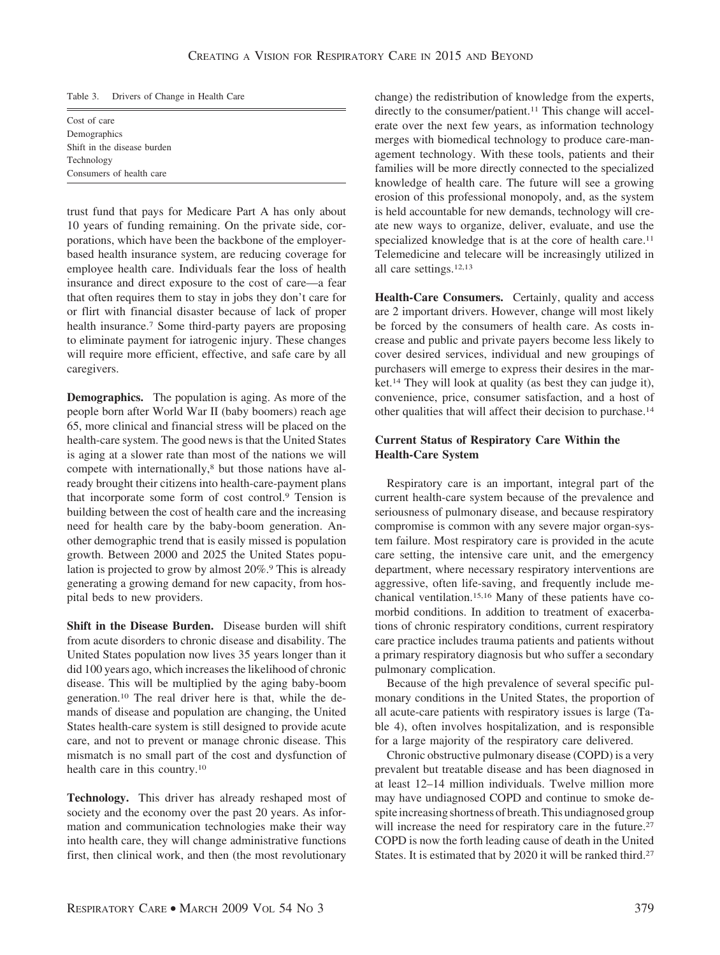Table 3. Drivers of Change in Health Care

Cost of care Demographics Shift in the disease burden Technology Consumers of health care

trust fund that pays for Medicare Part A has only about 10 years of funding remaining. On the private side, corporations, which have been the backbone of the employerbased health insurance system, are reducing coverage for employee health care. Individuals fear the loss of health insurance and direct exposure to the cost of care—a fear that often requires them to stay in jobs they don't care for or flirt with financial disaster because of lack of proper health insurance.7 Some third-party payers are proposing to eliminate payment for iatrogenic injury. These changes will require more efficient, effective, and safe care by all caregivers.

**Demographics.** The population is aging. As more of the people born after World War II (baby boomers) reach age 65, more clinical and financial stress will be placed on the health-care system. The good news is that the United States is aging at a slower rate than most of the nations we will compete with internationally,<sup>8</sup> but those nations have already brought their citizens into health-care-payment plans that incorporate some form of cost control.9 Tension is building between the cost of health care and the increasing need for health care by the baby-boom generation. Another demographic trend that is easily missed is population growth. Between 2000 and 2025 the United States population is projected to grow by almost 20%.9 This is already generating a growing demand for new capacity, from hospital beds to new providers.

**Shift in the Disease Burden.** Disease burden will shift from acute disorders to chronic disease and disability. The United States population now lives 35 years longer than it did 100 years ago, which increases the likelihood of chronic disease. This will be multiplied by the aging baby-boom generation.10 The real driver here is that, while the demands of disease and population are changing, the United States health-care system is still designed to provide acute care, and not to prevent or manage chronic disease. This mismatch is no small part of the cost and dysfunction of health care in this country.10

**Technology.** This driver has already reshaped most of society and the economy over the past 20 years. As information and communication technologies make their way into health care, they will change administrative functions first, then clinical work, and then (the most revolutionary change) the redistribution of knowledge from the experts, directly to the consumer/patient.<sup>11</sup> This change will accelerate over the next few years, as information technology merges with biomedical technology to produce care-management technology. With these tools, patients and their families will be more directly connected to the specialized knowledge of health care. The future will see a growing erosion of this professional monopoly, and, as the system is held accountable for new demands, technology will create new ways to organize, deliver, evaluate, and use the specialized knowledge that is at the core of health care.<sup>11</sup> Telemedicine and telecare will be increasingly utilized in all care settings.12,13

**Health-Care Consumers.** Certainly, quality and access are 2 important drivers. However, change will most likely be forced by the consumers of health care. As costs increase and public and private payers become less likely to cover desired services, individual and new groupings of purchasers will emerge to express their desires in the market.14 They will look at quality (as best they can judge it), convenience, price, consumer satisfaction, and a host of other qualities that will affect their decision to purchase.14

## **Current Status of Respiratory Care Within the Health-Care System**

Respiratory care is an important, integral part of the current health-care system because of the prevalence and seriousness of pulmonary disease, and because respiratory compromise is common with any severe major organ-system failure. Most respiratory care is provided in the acute care setting, the intensive care unit, and the emergency department, where necessary respiratory interventions are aggressive, often life-saving, and frequently include mechanical ventilation.15,16 Many of these patients have comorbid conditions. In addition to treatment of exacerbations of chronic respiratory conditions, current respiratory care practice includes trauma patients and patients without a primary respiratory diagnosis but who suffer a secondary pulmonary complication.

Because of the high prevalence of several specific pulmonary conditions in the United States, the proportion of all acute-care patients with respiratory issues is large (Table 4), often involves hospitalization, and is responsible for a large majority of the respiratory care delivered.

Chronic obstructive pulmonary disease (COPD) is a very prevalent but treatable disease and has been diagnosed in at least 12–14 million individuals. Twelve million more may have undiagnosed COPD and continue to smoke despite increasing shortness of breath. This undiagnosed group will increase the need for respiratory care in the future.<sup>27</sup> COPD is now the forth leading cause of death in the United States. It is estimated that by 2020 it will be ranked third.27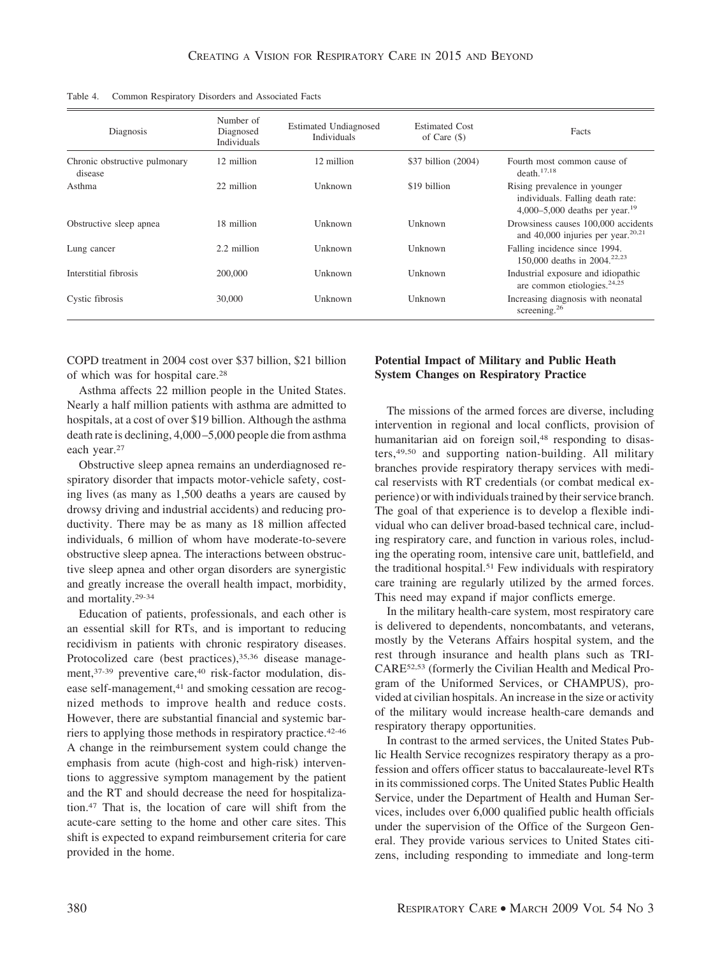| Diagnosis                                | Number of<br>Diagnosed<br>Individuals | <b>Estimated Undiagnosed</b><br>Individuals | <b>Estimated Cost</b><br>of Care $(\$)$ | Facts                                                                                                          |
|------------------------------------------|---------------------------------------|---------------------------------------------|-----------------------------------------|----------------------------------------------------------------------------------------------------------------|
| Chronic obstructive pulmonary<br>disease | 12 million                            | 12 million                                  | \$37 billion (2004)                     | Fourth most common cause of<br>death. <sup>17,18</sup>                                                         |
| Asthma                                   | 22 million                            | Unknown                                     | \$19 billion                            | Rising prevalence in younger<br>individuals. Falling death rate:<br>4,000–5,000 deaths per year. <sup>19</sup> |
| Obstructive sleep apnea                  | 18 million                            | Unknown                                     | Unknown                                 | Drowsiness causes 100,000 accidents<br>and 40,000 injuries per year. $20,21$                                   |
| Lung cancer                              | 2.2 million                           | Unknown                                     | Unknown                                 | Falling incidence since 1994.<br>150,000 deaths in 2004. <sup>22,23</sup>                                      |
| Interstitial fibrosis                    | 200,000                               | Unknown                                     | Unknown                                 | Industrial exposure and idiopathic<br>are common etiologies. $24,25$                                           |
| Cystic fibrosis                          | 30,000                                | Unknown                                     | Unknown                                 | Increasing diagnosis with neonatal<br>screening. $26$                                                          |

Table 4. Common Respiratory Disorders and Associated Facts

COPD treatment in 2004 cost over \$37 billion, \$21 billion of which was for hospital care.28

Asthma affects 22 million people in the United States. Nearly a half million patients with asthma are admitted to hospitals, at a cost of over \$19 billion. Although the asthma death rate is declining, 4,000 –5,000 people die from asthma each year.27

Obstructive sleep apnea remains an underdiagnosed respiratory disorder that impacts motor-vehicle safety, costing lives (as many as 1,500 deaths a years are caused by drowsy driving and industrial accidents) and reducing productivity. There may be as many as 18 million affected individuals, 6 million of whom have moderate-to-severe obstructive sleep apnea. The interactions between obstructive sleep apnea and other organ disorders are synergistic and greatly increase the overall health impact, morbidity, and mortality.29-34

Education of patients, professionals, and each other is an essential skill for RTs, and is important to reducing recidivism in patients with chronic respiratory diseases. Protocolized care (best practices),<sup>35,36</sup> disease management, 37-39 preventive care, 40 risk-factor modulation, disease self-management,<sup>41</sup> and smoking cessation are recognized methods to improve health and reduce costs. However, there are substantial financial and systemic barriers to applying those methods in respiratory practice.42-46 A change in the reimbursement system could change the emphasis from acute (high-cost and high-risk) interventions to aggressive symptom management by the patient and the RT and should decrease the need for hospitalization.47 That is, the location of care will shift from the acute-care setting to the home and other care sites. This shift is expected to expand reimbursement criteria for care provided in the home.

## **Potential Impact of Military and Public Heath System Changes on Respiratory Practice**

The missions of the armed forces are diverse, including intervention in regional and local conflicts, provision of humanitarian aid on foreign soil,<sup>48</sup> responding to disasters,49,50 and supporting nation-building. All military branches provide respiratory therapy services with medical reservists with RT credentials (or combat medical experience) or with individuals trained by their service branch. The goal of that experience is to develop a flexible individual who can deliver broad-based technical care, including respiratory care, and function in various roles, including the operating room, intensive care unit, battlefield, and the traditional hospital.51 Few individuals with respiratory care training are regularly utilized by the armed forces. This need may expand if major conflicts emerge.

In the military health-care system, most respiratory care is delivered to dependents, noncombatants, and veterans, mostly by the Veterans Affairs hospital system, and the rest through insurance and health plans such as TRI-CARE52,53 (formerly the Civilian Health and Medical Program of the Uniformed Services, or CHAMPUS), provided at civilian hospitals. An increase in the size or activity of the military would increase health-care demands and respiratory therapy opportunities.

In contrast to the armed services, the United States Public Health Service recognizes respiratory therapy as a profession and offers officer status to baccalaureate-level RTs in its commissioned corps. The United States Public Health Service, under the Department of Health and Human Services, includes over 6,000 qualified public health officials under the supervision of the Office of the Surgeon General. They provide various services to United States citizens, including responding to immediate and long-term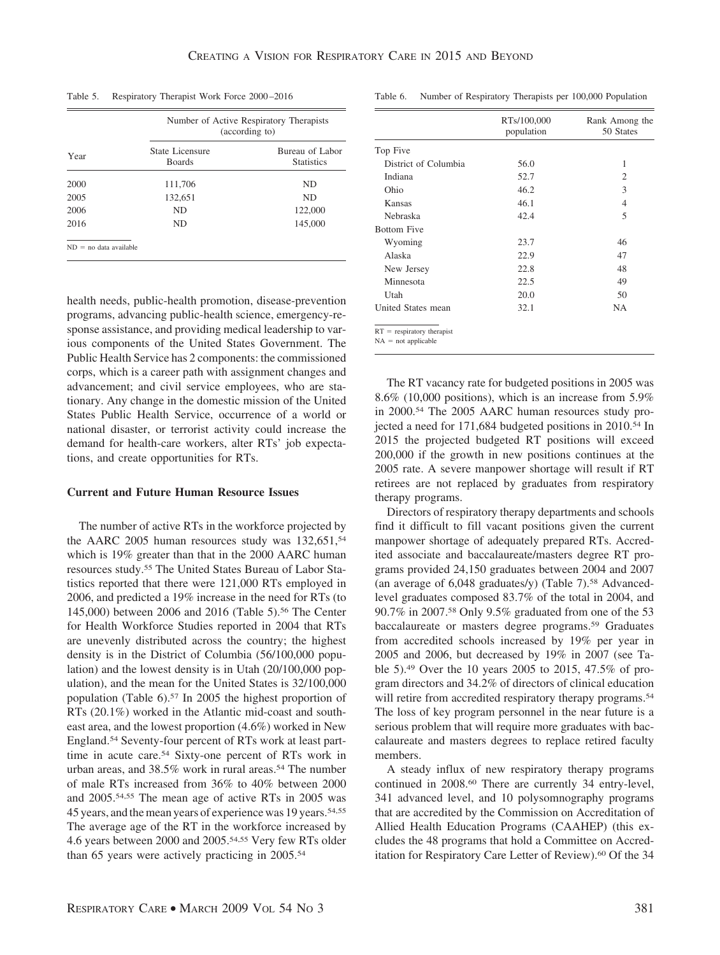Table 5. Respiratory Therapist Work Force 2000 –2016

|                          |                                  | Number of Active Respiratory Therapists<br>(according to) |  |  |
|--------------------------|----------------------------------|-----------------------------------------------------------|--|--|
| Year                     | State Licensure<br><b>Boards</b> | Bureau of Labor<br><b>Statistics</b>                      |  |  |
| 2000                     | 111,706                          | ND                                                        |  |  |
| 2005                     | 132,651                          | ND                                                        |  |  |
| 2006                     | ND                               | 122,000                                                   |  |  |
| 2016                     | ND                               | 145,000                                                   |  |  |
| $ND = no data available$ |                                  |                                                           |  |  |

health needs, public-health promotion, disease-prevention programs, advancing public-health science, emergency-response assistance, and providing medical leadership to various components of the United States Government. The Public Health Service has 2 components: the commissioned corps, which is a career path with assignment changes and advancement; and civil service employees, who are stationary. Any change in the domestic mission of the United States Public Health Service, occurrence of a world or national disaster, or terrorist activity could increase the demand for health-care workers, alter RTs' job expectations, and create opportunities for RTs.

#### **Current and Future Human Resource Issues**

The number of active RTs in the workforce projected by the AARC 2005 human resources study was 132,651,<sup>54</sup> which is 19% greater than that in the 2000 AARC human resources study.55 The United States Bureau of Labor Statistics reported that there were 121,000 RTs employed in 2006, and predicted a 19% increase in the need for RTs (to 145,000) between 2006 and 2016 (Table 5).56 The Center for Health Workforce Studies reported in 2004 that RTs are unevenly distributed across the country; the highest density is in the District of Columbia (56/100,000 population) and the lowest density is in Utah (20/100,000 population), and the mean for the United States is 32/100,000 population (Table 6).57 In 2005 the highest proportion of RTs (20.1%) worked in the Atlantic mid-coast and southeast area, and the lowest proportion (4.6%) worked in New England.54 Seventy-four percent of RTs work at least parttime in acute care.54 Sixty-one percent of RTs work in urban areas, and 38.5% work in rural areas.54 The number of male RTs increased from 36% to 40% between 2000 and 2005.54,55 The mean age of active RTs in 2005 was 45 years, and the mean years of experience was 19 years.54,55 The average age of the RT in the workforce increased by 4.6 years between 2000 and 2005.54,55 Very few RTs older than 65 years were actively practicing in 2005.54

Table 6. Number of Respiratory Therapists per 100,000 Population

|                                                       | RTs/100,000<br>population | Rank Among the<br>50 States |
|-------------------------------------------------------|---------------------------|-----------------------------|
| Top Five                                              |                           |                             |
| District of Columbia                                  | 56.0                      | 1                           |
| Indiana                                               | 52.7                      | 2                           |
| Ohio                                                  | 46.2                      | 3                           |
| Kansas                                                | 46.1                      | 4                           |
| Nebraska                                              | 42.4                      | 5                           |
| <b>Bottom Five</b>                                    |                           |                             |
| Wyoming                                               | 23.7                      | 46                          |
| Alaska                                                | 22.9                      | 47                          |
| New Jersey                                            | 22.8                      | 48                          |
| Minnesota                                             | 22.5                      | 49                          |
| Utah                                                  | 20.0                      | 50                          |
| United States mean                                    | 32.1                      | <b>NA</b>                   |
| $RT =$ respiratory therapist<br>$NA = not applicable$ |                           |                             |

The RT vacancy rate for budgeted positions in 2005 was 8.6% (10,000 positions), which is an increase from 5.9% in 2000.54 The 2005 AARC human resources study projected a need for 171,684 budgeted positions in 2010.<sup>54</sup> In 2015 the projected budgeted RT positions will exceed 200,000 if the growth in new positions continues at the 2005 rate. A severe manpower shortage will result if RT retirees are not replaced by graduates from respiratory therapy programs.

Directors of respiratory therapy departments and schools find it difficult to fill vacant positions given the current manpower shortage of adequately prepared RTs. Accredited associate and baccalaureate/masters degree RT programs provided 24,150 graduates between 2004 and 2007 (an average of 6,048 graduates/y) (Table 7).<sup>58</sup> Advancedlevel graduates composed 83.7% of the total in 2004, and 90.7% in 2007.58 Only 9.5% graduated from one of the 53 baccalaureate or masters degree programs.59 Graduates from accredited schools increased by 19% per year in 2005 and 2006, but decreased by 19% in 2007 (see Table 5).49 Over the 10 years 2005 to 2015, 47.5% of program directors and 34.2% of directors of clinical education will retire from accredited respiratory therapy programs.<sup>54</sup> The loss of key program personnel in the near future is a serious problem that will require more graduates with baccalaureate and masters degrees to replace retired faculty members.

A steady influx of new respiratory therapy programs continued in 2008.60 There are currently 34 entry-level, 341 advanced level, and 10 polysomnography programs that are accredited by the Commission on Accreditation of Allied Health Education Programs (CAAHEP) (this excludes the 48 programs that hold a Committee on Accreditation for Respiratory Care Letter of Review).<sup>60</sup> Of the 34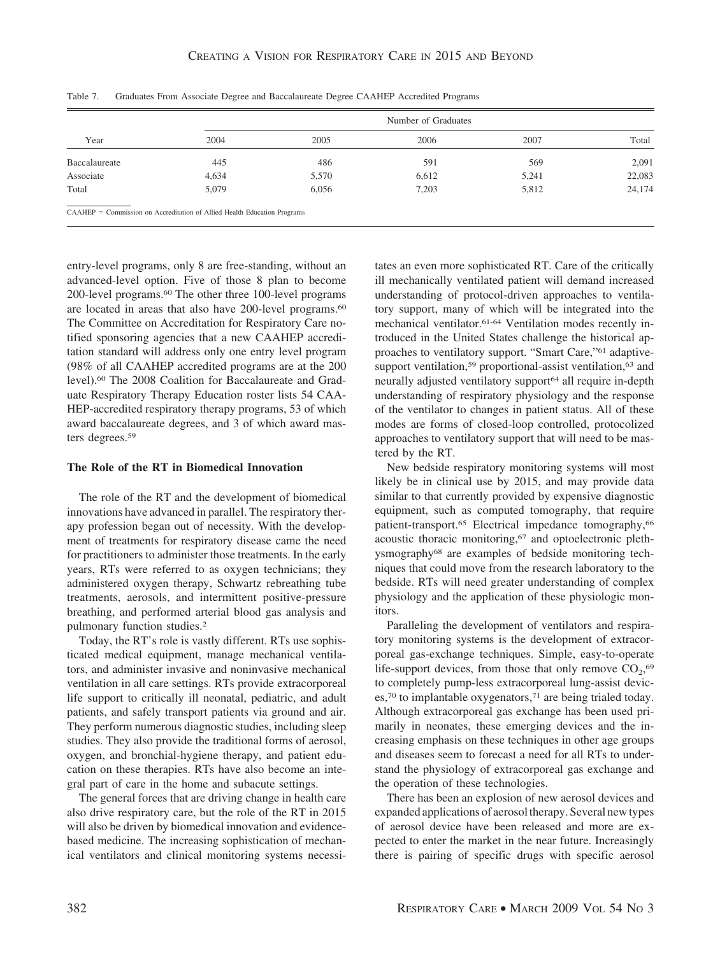|               |                                                                            |       | Number of Graduates |       |        |
|---------------|----------------------------------------------------------------------------|-------|---------------------|-------|--------|
| Year          | 2004                                                                       | 2005  | 2006                | 2007  | Total  |
| Baccalaureate | 445                                                                        | 486   | 591                 | 569   | 2,091  |
| Associate     | 4,634                                                                      | 5,570 | 6,612               | 5,241 | 22,083 |
| Total         | 5,079                                                                      | 6,056 | 7,203               | 5,812 | 24,174 |
|               | $CAAHEP =$ Commission on Accreditation of Allied Health Education Programs |       |                     |       |        |

Table 7. Graduates From Associate Degree and Baccalaureate Degree CAAHEP Accredited Programs

entry-level programs, only 8 are free-standing, without an advanced-level option. Five of those 8 plan to become 200-level programs.60 The other three 100-level programs are located in areas that also have 200-level programs.<sup>60</sup> The Committee on Accreditation for Respiratory Care notified sponsoring agencies that a new CAAHEP accreditation standard will address only one entry level program (98% of all CAAHEP accredited programs are at the 200 level).60 The 2008 Coalition for Baccalaureate and Graduate Respiratory Therapy Education roster lists 54 CAA-HEP-accredited respiratory therapy programs, 53 of which award baccalaureate degrees, and 3 of which award masters degrees.59

#### **The Role of the RT in Biomedical Innovation**

The role of the RT and the development of biomedical innovations have advanced in parallel. The respiratory therapy profession began out of necessity. With the development of treatments for respiratory disease came the need for practitioners to administer those treatments. In the early years, RTs were referred to as oxygen technicians; they administered oxygen therapy, Schwartz rebreathing tube treatments, aerosols, and intermittent positive-pressure breathing, and performed arterial blood gas analysis and pulmonary function studies.2

Today, the RT's role is vastly different. RTs use sophisticated medical equipment, manage mechanical ventilators, and administer invasive and noninvasive mechanical ventilation in all care settings. RTs provide extracorporeal life support to critically ill neonatal, pediatric, and adult patients, and safely transport patients via ground and air. They perform numerous diagnostic studies, including sleep studies. They also provide the traditional forms of aerosol, oxygen, and bronchial-hygiene therapy, and patient education on these therapies. RTs have also become an integral part of care in the home and subacute settings.

The general forces that are driving change in health care also drive respiratory care, but the role of the RT in 2015 will also be driven by biomedical innovation and evidencebased medicine. The increasing sophistication of mechanical ventilators and clinical monitoring systems necessitates an even more sophisticated RT. Care of the critically ill mechanically ventilated patient will demand increased understanding of protocol-driven approaches to ventilatory support, many of which will be integrated into the mechanical ventilator.61-64 Ventilation modes recently introduced in the United States challenge the historical approaches to ventilatory support. "Smart Care,"61 adaptivesupport ventilation,<sup>59</sup> proportional-assist ventilation,<sup>63</sup> and neurally adjusted ventilatory support<sup>64</sup> all require in-depth understanding of respiratory physiology and the response of the ventilator to changes in patient status. All of these modes are forms of closed-loop controlled, protocolized approaches to ventilatory support that will need to be mastered by the RT.

New bedside respiratory monitoring systems will most likely be in clinical use by 2015, and may provide data similar to that currently provided by expensive diagnostic equipment, such as computed tomography, that require patient-transport.<sup>65</sup> Electrical impedance tomography,<sup>66</sup> acoustic thoracic monitoring,67 and optoelectronic plethysmography68 are examples of bedside monitoring techniques that could move from the research laboratory to the bedside. RTs will need greater understanding of complex physiology and the application of these physiologic monitors.

Paralleling the development of ventilators and respiratory monitoring systems is the development of extracorporeal gas-exchange techniques. Simple, easy-to-operate life-support devices, from those that only remove  $CO<sub>2</sub>$ ,<sup>69</sup> to completely pump-less extracorporeal lung-assist devices,<sup>70</sup> to implantable oxygenators,<sup>71</sup> are being trialed today. Although extracorporeal gas exchange has been used primarily in neonates, these emerging devices and the increasing emphasis on these techniques in other age groups and diseases seem to forecast a need for all RTs to understand the physiology of extracorporeal gas exchange and the operation of these technologies.

There has been an explosion of new aerosol devices and expanded applications of aerosol therapy. Several new types of aerosol device have been released and more are expected to enter the market in the near future. Increasingly there is pairing of specific drugs with specific aerosol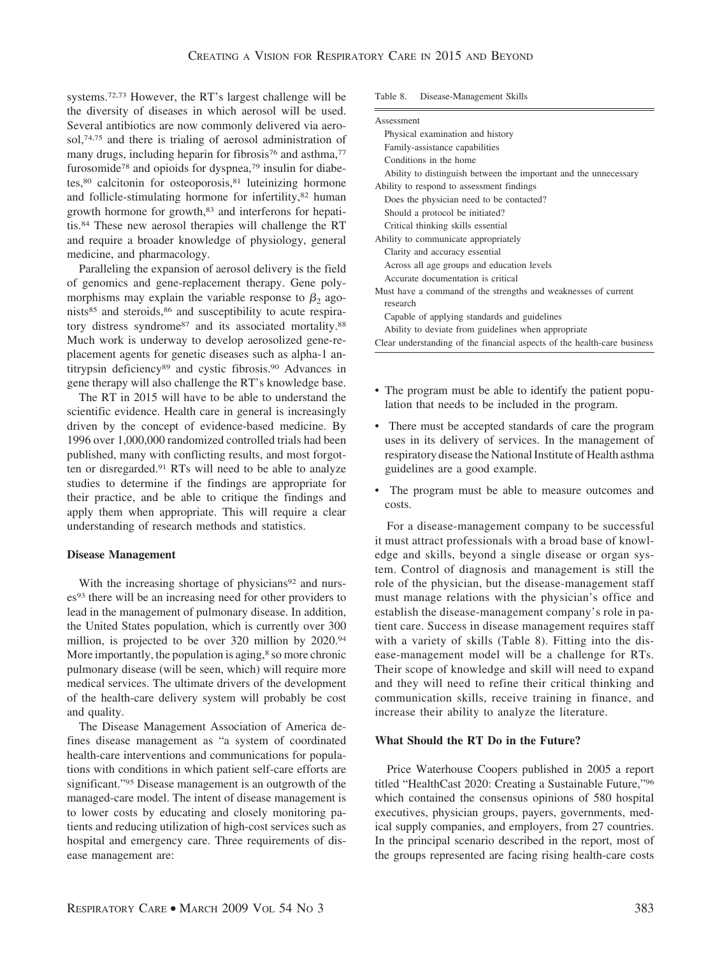systems.72,73 However, the RT's largest challenge will be the diversity of diseases in which aerosol will be used. Several antibiotics are now commonly delivered via aerosol,74,75 and there is trialing of aerosol administration of many drugs, including heparin for fibrosis<sup>76</sup> and asthma,<sup>77</sup> furosomide<sup>78</sup> and opioids for dyspnea,<sup>79</sup> insulin for diabetes,80 calcitonin for osteoporosis,81 luteinizing hormone and follicle-stimulating hormone for infertility,<sup>82</sup> human growth hormone for growth,83 and interferons for hepatitis.84 These new aerosol therapies will challenge the RT and require a broader knowledge of physiology, general medicine, and pharmacology.

Paralleling the expansion of aerosol delivery is the field of genomics and gene-replacement therapy. Gene polymorphisms may explain the variable response to  $\beta_2$  agonists<sup>85</sup> and steroids,<sup>86</sup> and susceptibility to acute respiratory distress syndrome<sup>87</sup> and its associated mortality.<sup>88</sup> Much work is underway to develop aerosolized gene-replacement agents for genetic diseases such as alpha-1 antitrypsin deficiency89 and cystic fibrosis.90 Advances in gene therapy will also challenge the RT's knowledge base.

The RT in 2015 will have to be able to understand the scientific evidence. Health care in general is increasingly driven by the concept of evidence-based medicine. By 1996 over 1,000,000 randomized controlled trials had been published, many with conflicting results, and most forgotten or disregarded.91 RTs will need to be able to analyze studies to determine if the findings are appropriate for their practice, and be able to critique the findings and apply them when appropriate. This will require a clear understanding of research methods and statistics.

#### **Disease Management**

With the increasing shortage of physicians<sup>92</sup> and nurses<sup>93</sup> there will be an increasing need for other providers to lead in the management of pulmonary disease. In addition, the United States population, which is currently over 300 million, is projected to be over 320 million by 2020.94 More importantly, the population is aging,<sup>8</sup> so more chronic pulmonary disease (will be seen, which) will require more medical services. The ultimate drivers of the development of the health-care delivery system will probably be cost and quality.

The Disease Management Association of America defines disease management as "a system of coordinated health-care interventions and communications for populations with conditions in which patient self-care efforts are significant."95 Disease management is an outgrowth of the managed-care model. The intent of disease management is to lower costs by educating and closely monitoring patients and reducing utilization of high-cost services such as hospital and emergency care. Three requirements of disease management are:

#### Table 8. Disease-Management Skills

| Assessment                                                               |
|--------------------------------------------------------------------------|
| Physical examination and history                                         |
| Family-assistance capabilities                                           |
| Conditions in the home                                                   |
| Ability to distinguish between the important and the unnecessary         |
| Ability to respond to assessment findings                                |
| Does the physician need to be contacted?                                 |
| Should a protocol be initiated?                                          |
| Critical thinking skills essential                                       |
| Ability to communicate appropriately                                     |
| Clarity and accuracy essential                                           |
| Across all age groups and education levels                               |
| Accurate documentation is critical                                       |
| Must have a command of the strengths and weaknesses of current           |
| research                                                                 |
| Capable of applying standards and guidelines                             |
| Ability to deviate from guidelines when appropriate                      |
| Clear understanding of the financial aspects of the health-care business |

- The program must be able to identify the patient population that needs to be included in the program.
- There must be accepted standards of care the program uses in its delivery of services. In the management of respiratory disease the National Institute of Health asthma guidelines are a good example.
- The program must be able to measure outcomes and costs.

For a disease-management company to be successful it must attract professionals with a broad base of knowledge and skills, beyond a single disease or organ system. Control of diagnosis and management is still the role of the physician, but the disease-management staff must manage relations with the physician's office and establish the disease-management company's role in patient care. Success in disease management requires staff with a variety of skills (Table 8). Fitting into the disease-management model will be a challenge for RTs. Their scope of knowledge and skill will need to expand and they will need to refine their critical thinking and communication skills, receive training in finance, and increase their ability to analyze the literature.

#### **What Should the RT Do in the Future?**

Price Waterhouse Coopers published in 2005 a report titled "HealthCast 2020: Creating a Sustainable Future,"96 which contained the consensus opinions of 580 hospital executives, physician groups, payers, governments, medical supply companies, and employers, from 27 countries. In the principal scenario described in the report, most of the groups represented are facing rising health-care costs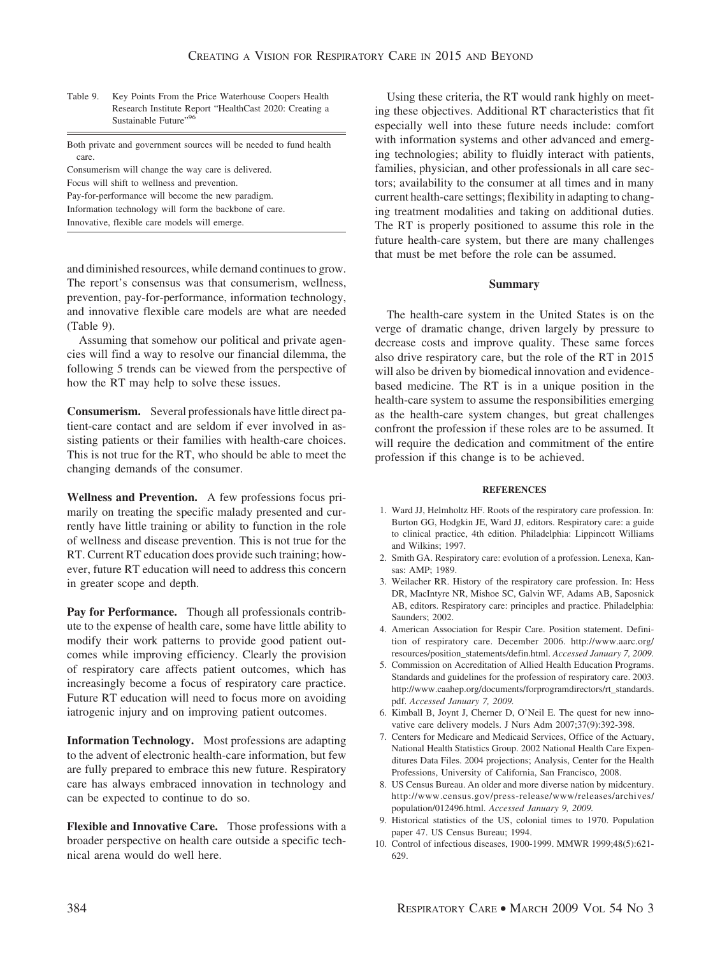| Table 9. | Key Points From the Price Waterhouse Coopers Health    |
|----------|--------------------------------------------------------|
|          | Research Institute Report "HealthCast 2020: Creating a |
|          | Sustainable Future" <sup>96</sup>                      |

| Both private and government sources will be needed to fund health |  |  |
|-------------------------------------------------------------------|--|--|
| care.                                                             |  |  |
| Consumerism will change the way care is delivered.                |  |  |

Focus will shift to wellness and prevention.

Pay-for-performance will become the new paradigm.

Information technology will form the backbone of care.

Innovative, flexible care models will emerge.

and diminished resources, while demand continues to grow. The report's consensus was that consumerism, wellness, prevention, pay-for-performance, information technology, and innovative flexible care models are what are needed (Table 9).

Assuming that somehow our political and private agencies will find a way to resolve our financial dilemma, the following 5 trends can be viewed from the perspective of how the RT may help to solve these issues.

**Consumerism.** Several professionals have little direct patient-care contact and are seldom if ever involved in assisting patients or their families with health-care choices. This is not true for the RT, who should be able to meet the changing demands of the consumer.

**Wellness and Prevention.** A few professions focus primarily on treating the specific malady presented and currently have little training or ability to function in the role of wellness and disease prevention. This is not true for the RT. Current RT education does provide such training; however, future RT education will need to address this concern in greater scope and depth.

**Pay for Performance.** Though all professionals contribute to the expense of health care, some have little ability to modify their work patterns to provide good patient outcomes while improving efficiency. Clearly the provision of respiratory care affects patient outcomes, which has increasingly become a focus of respiratory care practice. Future RT education will need to focus more on avoiding iatrogenic injury and on improving patient outcomes.

**Information Technology.** Most professions are adapting to the advent of electronic health-care information, but few are fully prepared to embrace this new future. Respiratory care has always embraced innovation in technology and can be expected to continue to do so.

**Flexible and Innovative Care.** Those professions with a broader perspective on health care outside a specific technical arena would do well here.

Using these criteria, the RT would rank highly on meeting these objectives. Additional RT characteristics that fit especially well into these future needs include: comfort with information systems and other advanced and emerging technologies; ability to fluidly interact with patients, families, physician, and other professionals in all care sectors; availability to the consumer at all times and in many current health-care settings; flexibility in adapting to changing treatment modalities and taking on additional duties. The RT is properly positioned to assume this role in the future health-care system, but there are many challenges that must be met before the role can be assumed.

#### **Summary**

The health-care system in the United States is on the verge of dramatic change, driven largely by pressure to decrease costs and improve quality. These same forces also drive respiratory care, but the role of the RT in 2015 will also be driven by biomedical innovation and evidencebased medicine. The RT is in a unique position in the health-care system to assume the responsibilities emerging as the health-care system changes, but great challenges confront the profession if these roles are to be assumed. It will require the dedication and commitment of the entire profession if this change is to be achieved.

#### **REFERENCES**

- 1. Ward JJ, Helmholtz HF. Roots of the respiratory care profession. In: Burton GG, Hodgkin JE, Ward JJ, editors. Respiratory care: a guide to clinical practice, 4th edition. Philadelphia: Lippincott Williams and Wilkins; 1997.
- 2. Smith GA. Respiratory care: evolution of a profession. Lenexa, Kansas: AMP; 1989.
- 3. Weilacher RR. History of the respiratory care profession. In: Hess DR, MacIntyre NR, Mishoe SC, Galvin WF, Adams AB, Saposnick AB, editors. Respiratory care: principles and practice. Philadelphia: Saunders; 2002.
- 4. American Association for Respir Care. Position statement. Definition of respiratory care. December 2006. http://www.aarc.org/ resources/position\_statements/defin.html. *Accessed January 7, 2009.*
- 5. Commission on Accreditation of Allied Health Education Programs. Standards and guidelines for the profession of respiratory care. 2003. http://www.caahep.org/documents/forprogramdirectors/rt\_standards. pdf. *Accessed January 7, 2009.*
- 6. Kimball B, Joynt J, Cherner D, O'Neil E. The quest for new innovative care delivery models. J Nurs Adm 2007;37(9):392-398.
- 7. Centers for Medicare and Medicaid Services, Office of the Actuary, National Health Statistics Group. 2002 National Health Care Expenditures Data Files. 2004 projections; Analysis, Center for the Health Professions, University of California, San Francisco, 2008.
- 8. US Census Bureau. An older and more diverse nation by midcentury. http://www.census.gov/press-release/www/releases/archives/ population/012496.html. *Accessed January 9, 2009.*
- 9. Historical statistics of the US, colonial times to 1970. Population paper 47. US Census Bureau; 1994.
- 10. Control of infectious diseases, 1900-1999. MMWR 1999;48(5):621- 629.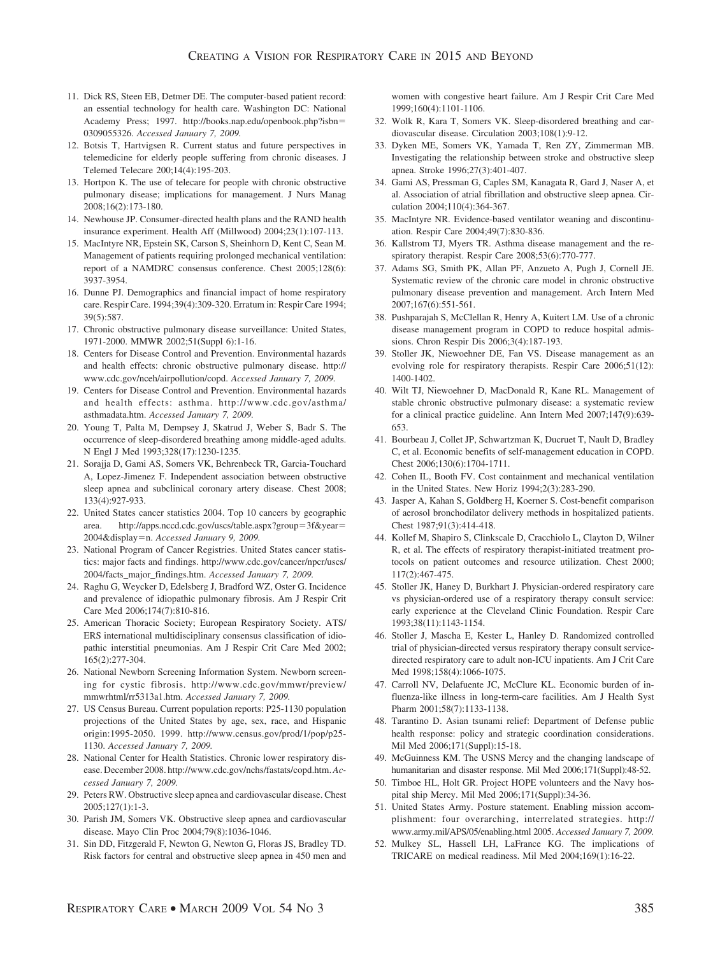- 11. Dick RS, Steen EB, Detmer DE. The computer-based patient record: an essential technology for health care. Washington DC: National Academy Press; 1997. http://books.nap.edu/openbook.php?isbn 0309055326. *Accessed January 7, 2009.*
- 12. Botsis T, Hartvigsen R. Current status and future perspectives in telemedicine for elderly people suffering from chronic diseases. J Telemed Telecare 200;14(4):195-203.
- 13. Hortpon K. The use of telecare for people with chronic obstructive pulmonary disease; implications for management. J Nurs Manag 2008;16(2):173-180.
- 14. Newhouse JP. Consumer-directed health plans and the RAND health insurance experiment. Health Aff (Millwood) 2004;23(1):107-113.
- 15. MacIntyre NR, Epstein SK, Carson S, Sheinhorn D, Kent C, Sean M. Management of patients requiring prolonged mechanical ventilation: report of a NAMDRC consensus conference. Chest 2005;128(6): 3937-3954.
- 16. Dunne PJ. Demographics and financial impact of home respiratory care. Respir Care. 1994;39(4):309-320. Erratum in: Respir Care 1994; 39(5):587.
- 17. Chronic obstructive pulmonary disease surveillance: United States, 1971-2000. MMWR 2002;51(Suppl 6):1-16.
- 18. Centers for Disease Control and Prevention. Environmental hazards and health effects: chronic obstructive pulmonary disease. http:// www.cdc.gov/nceh/airpollution/copd. *Accessed January 7, 2009.*
- 19. Centers for Disease Control and Prevention. Environmental hazards and health effects: asthma. http://www.cdc.gov/asthma/ asthmadata.htm. *Accessed January 7, 2009.*
- 20. Young T, Palta M, Dempsey J, Skatrud J, Weber S, Badr S. The occurrence of sleep-disordered breathing among middle-aged adults. N Engl J Med 1993;328(17):1230-1235.
- 21. Sorajja D, Gami AS, Somers VK, Behrenbeck TR, Garcia-Touchard A, Lopez-Jimenez F. Independent association between obstructive sleep apnea and subclinical coronary artery disease. Chest 2008; 133(4):927-933.
- 22. United States cancer statistics 2004. Top 10 cancers by geographic area. http://apps.nccd.cdc.gov/uscs/table.aspx?group=3f&year= 2004&display=n. *Accessed January 9, 2009*.
- 23. National Program of Cancer Registries. United States cancer statistics: major facts and findings. http://www.cdc.gov/cancer/npcr/uscs/ 2004/facts\_major\_findings.htm. *Accessed January 7, 2009.*
- 24. Raghu G, Weycker D, Edelsberg J, Bradford WZ, Oster G. Incidence and prevalence of idiopathic pulmonary fibrosis. Am J Respir Crit Care Med 2006;174(7):810-816.
- 25. American Thoracic Society; European Respiratory Society. ATS/ ERS international multidisciplinary consensus classification of idiopathic interstitial pneumonias. Am J Respir Crit Care Med 2002; 165(2):277-304.
- 26. National Newborn Screening Information System. Newborn screening for cystic fibrosis. http://www.cdc.gov/mmwr/preview/ mmwrhtml/rr5313a1.htm. *Accessed January 7, 2009.*
- 27. US Census Bureau. Current population reports: P25-1130 population projections of the United States by age, sex, race, and Hispanic origin:1995-2050. 1999. http://www.census.gov/prod/1/pop/p25- 1130. *Accessed January 7, 2009.*
- 28. National Center for Health Statistics. Chronic lower respiratory disease. December 2008. http://www.cdc.gov/nchs/fastats/copd.htm. *Accessed January 7, 2009.*
- 29. Peters RW. Obstructive sleep apnea and cardiovascular disease. Chest 2005;127(1):1-3.
- 30. Parish JM, Somers VK. Obstructive sleep apnea and cardiovascular disease. Mayo Clin Proc 2004;79(8):1036-1046.
- 31. Sin DD, Fitzgerald F, Newton G, Newton G, Floras JS, Bradley TD. Risk factors for central and obstructive sleep apnea in 450 men and

women with congestive heart failure. Am J Respir Crit Care Med 1999;160(4):1101-1106.

- 32. Wolk R, Kara T, Somers VK. Sleep-disordered breathing and cardiovascular disease. Circulation 2003;108(1):9-12.
- 33. Dyken ME, Somers VK, Yamada T, Ren ZY, Zimmerman MB. Investigating the relationship between stroke and obstructive sleep apnea. Stroke 1996;27(3):401-407.
- 34. Gami AS, Pressman G, Caples SM, Kanagata R, Gard J, Naser A, et al. Association of atrial fibrillation and obstructive sleep apnea. Circulation 2004;110(4):364-367.
- 35. MacIntyre NR. Evidence-based ventilator weaning and discontinuation. Respir Care 2004;49(7):830-836.
- 36. Kallstrom TJ, Myers TR. Asthma disease management and the respiratory therapist. Respir Care 2008;53(6):770-777.
- 37. Adams SG, Smith PK, Allan PF, Anzueto A, Pugh J, Cornell JE. Systematic review of the chronic care model in chronic obstructive pulmonary disease prevention and management. Arch Intern Med 2007;167(6):551-561.
- 38. Pushparajah S, McClellan R, Henry A, Kuitert LM. Use of a chronic disease management program in COPD to reduce hospital admissions. Chron Respir Dis 2006;3(4):187-193.
- 39. Stoller JK, Niewoehner DE, Fan VS. Disease management as an evolving role for respiratory therapists. Respir Care 2006;51(12): 1400-1402.
- 40. Wilt TJ, Niewoehner D, MacDonald R, Kane RL. Management of stable chronic obstructive pulmonary disease: a systematic review for a clinical practice guideline. Ann Intern Med 2007;147(9):639- 653.
- 41. Bourbeau J, Collet JP, Schwartzman K, Ducruet T, Nault D, Bradley C, et al. Economic benefits of self-management education in COPD. Chest 2006;130(6):1704-1711.
- 42. Cohen IL, Booth FV. Cost containment and mechanical ventilation in the United States. New Horiz 1994;2(3):283-290.
- 43. Jasper A, Kahan S, Goldberg H, Koerner S. Cost-benefit comparison of aerosol bronchodilator delivery methods in hospitalized patients. Chest 1987;91(3):414-418.
- 44. Kollef M, Shapiro S, Clinkscale D, Cracchiolo L, Clayton D, Wilner R, et al. The effects of respiratory therapist-initiated treatment protocols on patient outcomes and resource utilization. Chest 2000; 117(2):467-475.
- 45. Stoller JK, Haney D, Burkhart J. Physician-ordered respiratory care vs physician-ordered use of a respiratory therapy consult service: early experience at the Cleveland Clinic Foundation. Respir Care 1993;38(11):1143-1154.
- 46. Stoller J, Mascha E, Kester L, Hanley D. Randomized controlled trial of physician-directed versus respiratory therapy consult servicedirected respiratory care to adult non-ICU inpatients. Am J Crit Care Med 1998;158(4):1066-1075.
- 47. Carroll NV, Delafuente JC, McClure KL. Economic burden of influenza-like illness in long-term-care facilities. Am J Health Syst Pharm 2001;58(7):1133-1138.
- 48. Tarantino D. Asian tsunami relief: Department of Defense public health response: policy and strategic coordination considerations. Mil Med 2006;171(Suppl):15-18.
- 49. McGuinness KM. The USNS Mercy and the changing landscape of humanitarian and disaster response. Mil Med 2006;171(Suppl):48-52.
- 50. Timboe HL, Holt GR. Project HOPE volunteers and the Navy hospital ship Mercy. Mil Med 2006;171(Suppl):34-36.
- 51. United States Army. Posture statement. Enabling mission accomplishment: four overarching, interrelated strategies. http:// www.army.mil/APS/05/enabling.html 2005. *Accessed January 7, 2009.*
- 52. Mulkey SL, Hassell LH, LaFrance KG. The implications of TRICARE on medical readiness. Mil Med 2004;169(1):16-22.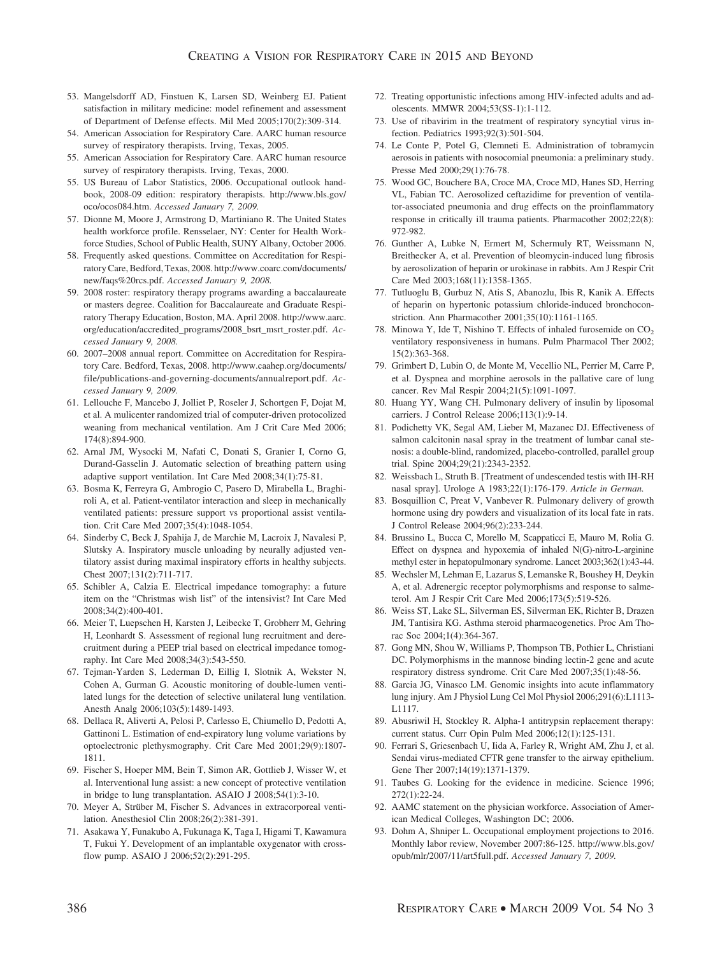- 53. Mangelsdorff AD, Finstuen K, Larsen SD, Weinberg EJ. Patient satisfaction in military medicine: model refinement and assessment of Department of Defense effects. Mil Med 2005;170(2):309-314.
- 54. American Association for Respiratory Care. AARC human resource survey of respiratory therapists. Irving, Texas, 2005.
- 55. American Association for Respiratory Care. AARC human resource survey of respiratory therapists. Irving, Texas, 2000.
- 55. US Bureau of Labor Statistics, 2006. Occupational outlook handbook, 2008-09 edition: respiratory therapists. http://www.bls.gov/ oco/ocos084.htm. *Accessed January 7, 2009.*
- 57. Dionne M, Moore J, Armstrong D, Martiniano R. The United States health workforce profile. Rensselaer, NY: Center for Health Workforce Studies, School of Public Health, SUNY Albany, October 2006.
- 58. Frequently asked questions. Committee on Accreditation for Respiratory Care, Bedford, Texas, 2008. http://www.coarc.com/documents/ new/faqs%20rcs.pdf. *Accessed January 9, 2008.*
- 59. 2008 roster: respiratory therapy programs awarding a baccalaureate or masters degree. Coalition for Baccalaureate and Graduate Respiratory Therapy Education, Boston, MA. April 2008. http://www.aarc. org/education/accredited\_programs/2008\_bsrt\_msrt\_roster.pdf. *Accessed January 9, 2008.*
- 60. 2007–2008 annual report. Committee on Accreditation for Respiratory Care. Bedford, Texas, 2008. http://www.caahep.org/documents/ file/publications-and-governing-documents/annualreport.pdf. *Accessed January 9, 2009.*
- 61. Lellouche F, Mancebo J, Jolliet P, Roseler J, Schortgen F, Dojat M, et al. A mulicenter randomized trial of computer-driven protocolized weaning from mechanical ventilation. Am J Crit Care Med 2006; 174(8):894-900.
- 62. Arnal JM, Wysocki M, Nafati C, Donati S, Granier I, Corno G, Durand-Gasselin J. Automatic selection of breathing pattern using adaptive support ventilation. Int Care Med 2008;34(1):75-81.
- 63. Bosma K, Ferreyra G, Ambrogio C, Pasero D, Mirabella L, Braghiroli A, et al. Patient-ventilator interaction and sleep in mechanically ventilated patients: pressure support vs proportional assist ventilation. Crit Care Med 2007;35(4):1048-1054.
- 64. Sinderby C, Beck J, Spahija J, de Marchie M, Lacroix J, Navalesi P, Slutsky A. Inspiratory muscle unloading by neurally adjusted ventilatory assist during maximal inspiratory efforts in healthy subjects. Chest 2007;131(2):711-717.
- 65. Schibler A, Calzia E. Electrical impedance tomography: a future item on the "Christmas wish list" of the intensivist? Int Care Med 2008;34(2):400-401.
- 66. Meier T, Luepschen H, Karsten J, Leibecke T, Grobherr M, Gehring H, Leonhardt S. Assessment of regional lung recruitment and derecruitment during a PEEP trial based on electrical impedance tomography. Int Care Med 2008;34(3):543-550.
- 67. Tejman-Yarden S, Lederman D, Eillig I, Slotnik A, Wekster N, Cohen A, Gurman G. Acoustic monitoring of double-lumen ventilated lungs for the detection of selective unilateral lung ventilation. Anesth Analg 2006;103(5):1489-1493.
- 68. Dellaca R, Aliverti A, Pelosi P, Carlesso E, Chiumello D, Pedotti A, Gattinoni L. Estimation of end-expiratory lung volume variations by optoelectronic plethysmography. Crit Care Med 2001;29(9):1807- 1811.
- 69. Fischer S, Hoeper MM, Bein T, Simon AR, Gottlieb J, Wisser W, et al. Interventional lung assist: a new concept of protective ventilation in bridge to lung transplantation. ASAIO J 2008;54(1):3-10.
- 70. Meyer A, Strüber M, Fischer S. Advances in extracorporeal ventilation. Anesthesiol Clin 2008;26(2):381-391.
- 71. Asakawa Y, Funakubo A, Fukunaga K, Taga I, Higami T, Kawamura T, Fukui Y. Development of an implantable oxygenator with crossflow pump. ASAIO J 2006;52(2):291-295.
- 72. Treating opportunistic infections among HIV-infected adults and adolescents. MMWR 2004;53(SS-1):1-112.
- 73. Use of ribavirim in the treatment of respiratory syncytial virus infection. Pediatrics 1993;92(3):501-504.
- 74. Le Conte P, Potel G, Clemneti E. Administration of tobramycin aerosois in patients with nosocomial pneumonia: a preliminary study. Presse Med 2000;29(1):76-78.
- 75. Wood GC, Bouchere BA, Croce MA, Croce MD, Hanes SD, Herring VL, Fabian TC. Aerosolized ceftazidime for prevention of ventilator-associated pneumonia and drug effects on the proinflammatory response in critically ill trauma patients. Pharmacother 2002;22(8): 972-982.
- 76. Gunther A, Lubke N, Ermert M, Schermuly RT, Weissmann N, Breithecker A, et al. Prevention of bleomycin-induced lung fibrosis by aerosolization of heparin or urokinase in rabbits. Am J Respir Crit Care Med 2003;168(11):1358-1365.
- 77. Tutluoglu B, Gurbuz N, Atis S, Abanozlu, Ibis R, Kanik A. Effects of heparin on hypertonic potassium chloride-induced bronchoconstriction. Ann Pharmacother 2001;35(10):1161-1165.
- 78. Minowa Y, Ide T, Nishino T. Effects of inhaled furosemide on  $CO<sub>2</sub>$ ventilatory responsiveness in humans. Pulm Pharmacol Ther 2002; 15(2):363-368.
- 79. Grimbert D, Lubin O, de Monte M, Vecellio NL, Perrier M, Carre P, et al. Dyspnea and morphine aerosols in the pallative care of lung cancer. Rev Mal Respir 2004;21(5):1091-1097.
- 80. Huang YY, Wang CH. Pulmonary delivery of insulin by liposomal carriers. J Control Release 2006;113(1):9-14.
- 81. Podichetty VK, Segal AM, Lieber M, Mazanec DJ. Effectiveness of salmon calcitonin nasal spray in the treatment of lumbar canal stenosis: a double-blind, randomized, placebo-controlled, parallel group trial. Spine 2004;29(21):2343-2352.
- 82. Weissbach L, Struth B. [Treatment of undescended testis with IH-RH nasal spray]. Urologe A 1983;22(1):176-179. *Article in German.*
- 83. Bosquillion C, Preat V, Vanbever R. Pulmonary delivery of growth hormone using dry powders and visualization of its local fate in rats. J Control Release 2004;96(2):233-244.
- 84. Brussino L, Bucca C, Morello M, Scappaticci E, Mauro M, Rolia G. Effect on dyspnea and hypoxemia of inhaled N(G)-nitro-L-arginine methyl ester in hepatopulmonary syndrome. Lancet 2003;362(1):43-44.
- 85. Wechsler M, Lehman E, Lazarus S, Lemanske R, Boushey H, Deykin A, et al. Adrenergic receptor polymorphisms and response to salmeterol. Am J Respir Crit Care Med 2006;173(5):519-526.
- 86. Weiss ST, Lake SL, Silverman ES, Silverman EK, Richter B, Drazen JM, Tantisira KG. Asthma steroid pharmacogenetics. Proc Am Thorac Soc 2004;1(4):364-367.
- 87. Gong MN, Shou W, Williams P, Thompson TB, Pothier L, Christiani DC. Polymorphisms in the mannose binding lectin-2 gene and acute respiratory distress syndrome. Crit Care Med 2007;35(1):48-56.
- 88. Garcia JG, Vinasco LM. Genomic insights into acute inflammatory lung injury. Am J Physiol Lung Cel Mol Physiol 2006;291(6):L1113- L1117.
- 89. Abusriwil H, Stockley R. Alpha-1 antitrypsin replacement therapy: current status. Curr Opin Pulm Med 2006;12(1):125-131.
- 90. Ferrari S, Griesenbach U, Iida A, Farley R, Wright AM, Zhu J, et al. Sendai virus-mediated CFTR gene transfer to the airway epithelium. Gene Ther 2007;14(19):1371-1379.
- 91. Taubes G. Looking for the evidence in medicine. Science 1996; 272(1):22-24.
- 92. AAMC statement on the physician workforce. Association of American Medical Colleges, Washington DC; 2006.
- 93. Dohm A, Shniper L. Occupational employment projections to 2016. Monthly labor review, November 2007:86-125. http://www.bls.gov/ opub/mlr/2007/11/art5full.pdf. *Accessed January 7, 2009.*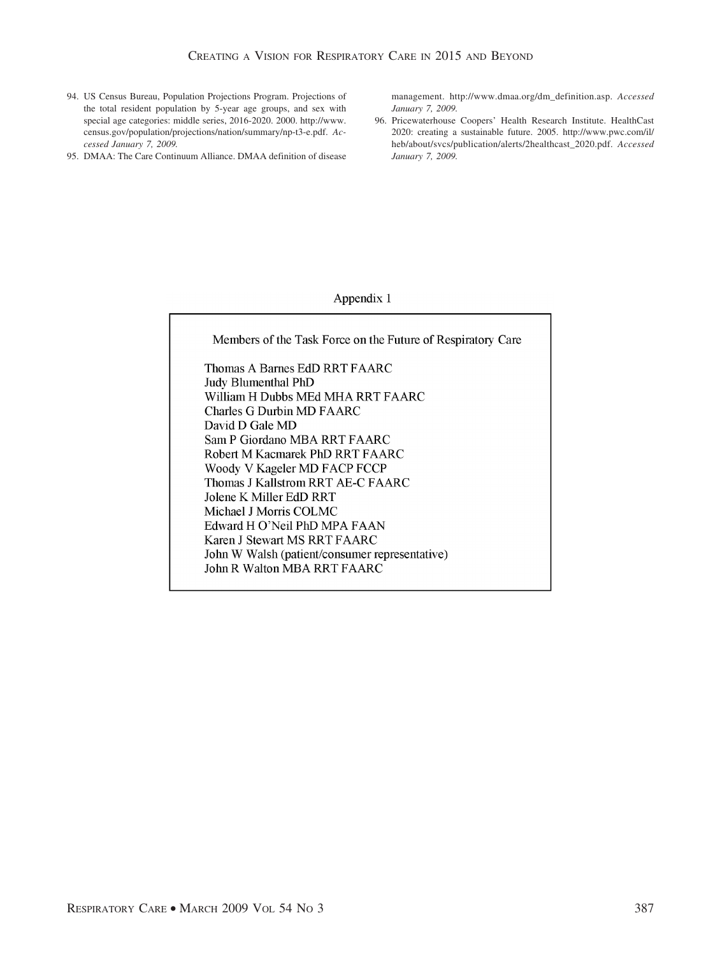- 94. US Census Bureau, Population Projections Program. Projections of the total resident population by 5-year age groups, and sex with special age categories: middle series, 2016-2020. 2000. http://www. census.gov/population/projections/nation/summary/np-t3-e.pdf. *Accessed January 7, 2009.*
- 95. DMAA: The Care Continuum Alliance. DMAA definition of disease

management. http://www.dmaa.org/dm\_definition.asp. *Accessed January 7, 2009.*

96. Pricewaterhouse Coopers' Health Research Institute. HealthCast 2020: creating a sustainable future. 2005. http://www.pwc.com/il/ heb/about/svcs/publication/alerts/2healthcast\_2020.pdf. *Accessed January 7, 2009.*

## Appendix 1

Members of the Task Force on the Future of Respiratory Care Thomas A Barnes EdD RRT FAARC Judy Blumenthal PhD William H Dubbs MEd MHA RRT FAARC **Charles G Durbin MD FAARC** David D Gale MD Sam P Giordano MBA RRT FAARC Robert M Kacmarek PhD RRT FAARC Woody V Kageler MD FACP FCCP Thomas J Kallstrom RRT AE-C FAARC Jolene K Miller EdD RRT Michael J Morris COLMC Edward H O'Neil PhD MPA FAAN Karen J Stewart MS RRT FAARC John W Walsh (patient/consumer representative) John R Walton MBA RRT FAARC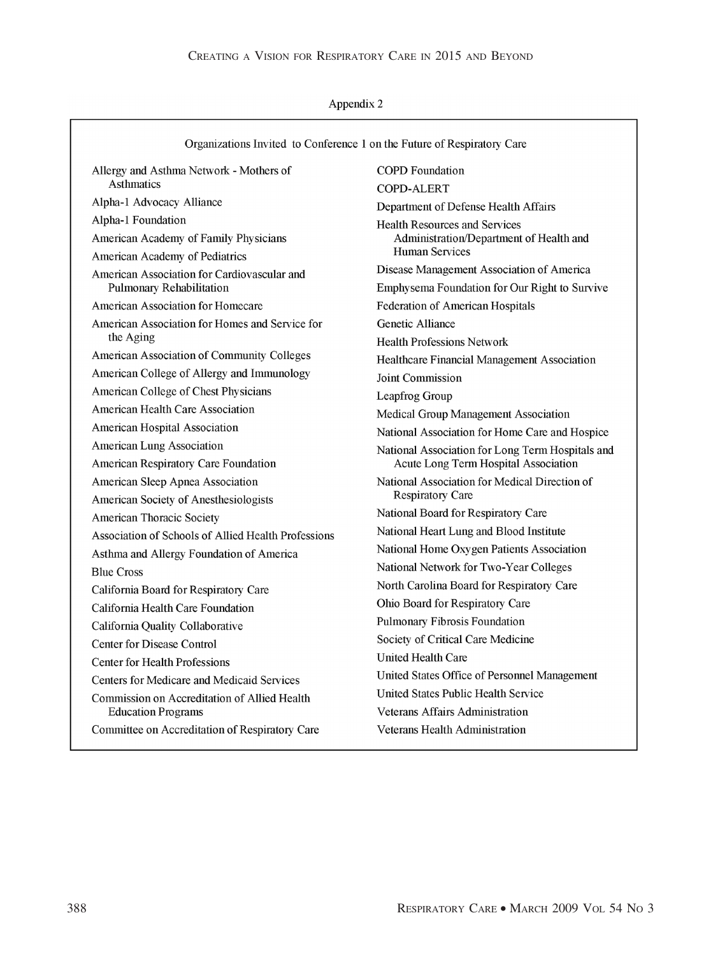## Appendix 2

| Asthmatics<br>Alpha-1 Advocacy Alliance<br>Alpha-1 Foundation<br>American Academy of Family Physicians<br>American Academy of Pediatrics<br>American Association for Cardiovascular and<br>Pulmonary Rehabilitation<br><b>American Association for Homecare</b><br>American Association for Homes and Service for<br>the Aging | <b>COPD-ALERT</b><br>Department of Defense Health Affairs<br><b>Health Resources and Services</b><br>Administration/Department of Health and<br>Human Services<br>Disease Management Association of America<br>Emphysema Foundation for Our Right to Survive<br><b>Federation of American Hospitals</b><br>Genetic Alliance |
|--------------------------------------------------------------------------------------------------------------------------------------------------------------------------------------------------------------------------------------------------------------------------------------------------------------------------------|-----------------------------------------------------------------------------------------------------------------------------------------------------------------------------------------------------------------------------------------------------------------------------------------------------------------------------|
|                                                                                                                                                                                                                                                                                                                                |                                                                                                                                                                                                                                                                                                                             |
|                                                                                                                                                                                                                                                                                                                                |                                                                                                                                                                                                                                                                                                                             |
|                                                                                                                                                                                                                                                                                                                                |                                                                                                                                                                                                                                                                                                                             |
|                                                                                                                                                                                                                                                                                                                                |                                                                                                                                                                                                                                                                                                                             |
|                                                                                                                                                                                                                                                                                                                                |                                                                                                                                                                                                                                                                                                                             |
|                                                                                                                                                                                                                                                                                                                                |                                                                                                                                                                                                                                                                                                                             |
|                                                                                                                                                                                                                                                                                                                                |                                                                                                                                                                                                                                                                                                                             |
|                                                                                                                                                                                                                                                                                                                                |                                                                                                                                                                                                                                                                                                                             |
|                                                                                                                                                                                                                                                                                                                                | <b>Health Professions Network</b>                                                                                                                                                                                                                                                                                           |
| American Association of Community Colleges                                                                                                                                                                                                                                                                                     | Healthcare Financial Management Association                                                                                                                                                                                                                                                                                 |
| American College of Allergy and Immunology                                                                                                                                                                                                                                                                                     | <b>Joint Commission</b>                                                                                                                                                                                                                                                                                                     |
| American College of Chest Physicians                                                                                                                                                                                                                                                                                           | Leapfrog Group                                                                                                                                                                                                                                                                                                              |
| American Health Care Association                                                                                                                                                                                                                                                                                               | Medical Group Management Association                                                                                                                                                                                                                                                                                        |
| American Hospital Association                                                                                                                                                                                                                                                                                                  | National Association for Home Care and Hospice                                                                                                                                                                                                                                                                              |
| <b>American Lung Association</b>                                                                                                                                                                                                                                                                                               | National Association for Long Term Hospitals and                                                                                                                                                                                                                                                                            |
| American Respiratory Care Foundation                                                                                                                                                                                                                                                                                           | Acute Long Term Hospital Association                                                                                                                                                                                                                                                                                        |
| American Sleep Apnea Association                                                                                                                                                                                                                                                                                               | National Association for Medical Direction of                                                                                                                                                                                                                                                                               |
| American Society of Anesthesiologists                                                                                                                                                                                                                                                                                          | <b>Respiratory Care</b>                                                                                                                                                                                                                                                                                                     |
| American Thoracic Society                                                                                                                                                                                                                                                                                                      | National Board for Respiratory Care                                                                                                                                                                                                                                                                                         |
| <b>Association of Schools of Allied Health Professions</b>                                                                                                                                                                                                                                                                     | National Heart Lung and Blood Institute                                                                                                                                                                                                                                                                                     |
| Asthma and Allergy Foundation of America                                                                                                                                                                                                                                                                                       | National Home Oxygen Patients Association<br>National Network for Two-Year Colleges                                                                                                                                                                                                                                         |
| <b>Blue Cross</b>                                                                                                                                                                                                                                                                                                              | North Carolina Board for Respiratory Care                                                                                                                                                                                                                                                                                   |
| California Board for Respiratory Care                                                                                                                                                                                                                                                                                          | Ohio Board for Respiratory Care                                                                                                                                                                                                                                                                                             |
| California Health Care Foundation                                                                                                                                                                                                                                                                                              | Pulmonary Fibrosis Foundation                                                                                                                                                                                                                                                                                               |
| California Quality Collaborative                                                                                                                                                                                                                                                                                               | Society of Critical Care Medicine                                                                                                                                                                                                                                                                                           |
| <b>Center for Disease Control</b>                                                                                                                                                                                                                                                                                              | <b>United Health Care</b>                                                                                                                                                                                                                                                                                                   |
| <b>Center for Health Professions</b>                                                                                                                                                                                                                                                                                           | United States Office of Personnel Management                                                                                                                                                                                                                                                                                |
| Centers for Medicare and Medicaid Services                                                                                                                                                                                                                                                                                     | United States Public Health Service                                                                                                                                                                                                                                                                                         |
| Commission on Accreditation of Allied Health<br><b>Education Programs</b>                                                                                                                                                                                                                                                      | Veterans Affairs Administration                                                                                                                                                                                                                                                                                             |
| Committee on Accreditation of Respiratory Care                                                                                                                                                                                                                                                                                 | Veterans Health Administration                                                                                                                                                                                                                                                                                              |